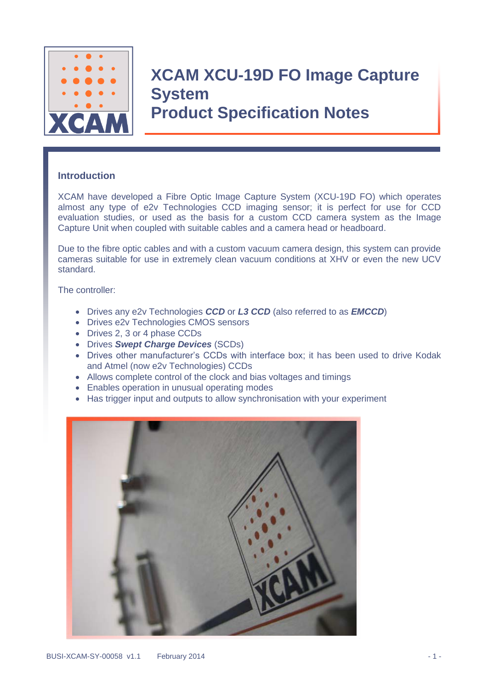

### **Introduction**

XCAM have developed a Fibre Optic Image Capture System (XCU-19D FO) which operates almost any type of e2v Technologies CCD imaging sensor; it is perfect for use for CCD evaluation studies, or used as the basis for a custom CCD camera system as the Image Capture Unit when coupled with suitable cables and a camera head or headboard.

Due to the fibre optic cables and with a custom vacuum camera design, this system can provide cameras suitable for use in extremely clean vacuum conditions at XHV or even the new UCV standard.

The controller:

- Drives any e2v Technologies *CCD* or *L3 CCD* (also referred to as *EMCCD*)
- Drives e2v Technologies CMOS sensors
- Drives 2, 3 or 4 phase CCDs
- Drives *Swept Charge Devices* (SCDs)
- Drives other manufacturer's CCDs with interface box; it has been used to drive Kodak and Atmel (now e2v Technologies) CCDs
- Allows complete control of the clock and bias voltages and timings
- Enables operation in unusual operating modes
- Has trigger input and outputs to allow synchronisation with your experiment

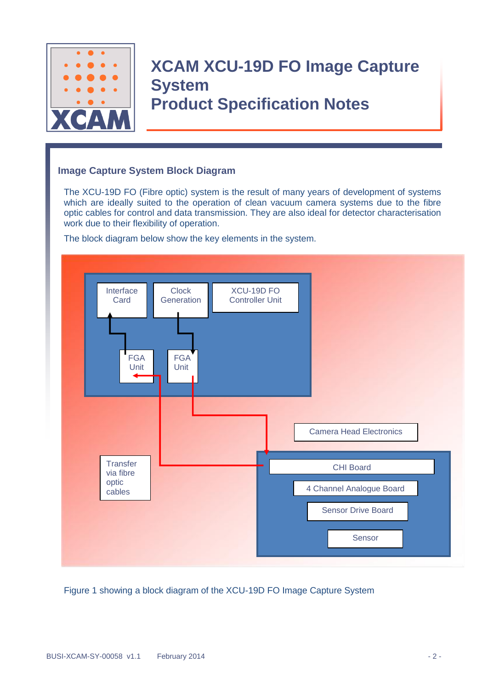

### **Image Capture System Block Diagram**

The XCU-19D FO (Fibre optic) system is the result of many years of development of systems which are ideally suited to the operation of clean vacuum camera systems due to the fibre optic cables for control and data transmission. They are also ideal for detector characterisation work due to their flexibility of operation.

The block diagram below show the key elements in the system.



Figure 1 showing a block diagram of the XCU-19D FO Image Capture System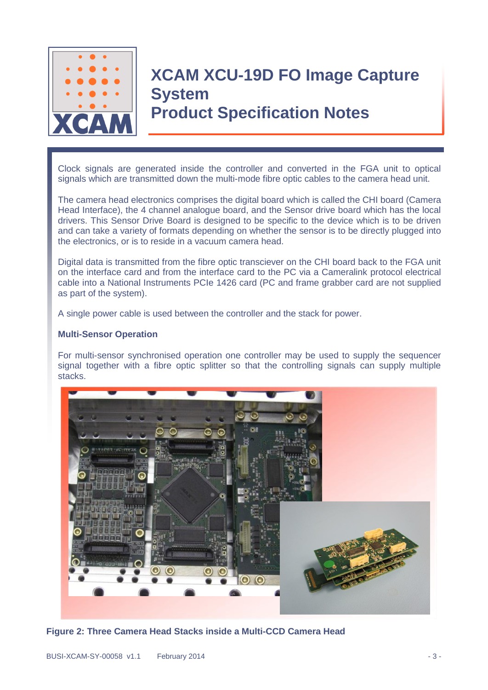

Clock signals are generated inside the controller and converted in the FGA unit to optical signals which are transmitted down the multi-mode fibre optic cables to the camera head unit.

The camera head electronics comprises the digital board which is called the CHI board (Camera Head Interface), the 4 channel analogue board, and the Sensor drive board which has the local drivers. This Sensor Drive Board is designed to be specific to the device which is to be driven and can take a variety of formats depending on whether the sensor is to be directly plugged into the electronics, or is to reside in a vacuum camera head.

Digital data is transmitted from the fibre optic transciever on the CHI board back to the FGA unit on the interface card and from the interface card to the PC via a Cameralink protocol electrical cable into a National Instruments PCIe 1426 card (PC and frame grabber card are not supplied as part of the system).

A single power cable is used between the controller and the stack for power.

#### **Multi-Sensor Operation**

For multi-sensor synchronised operation one controller may be used to supply the sequencer signal together with a fibre optic splitter so that the controlling signals can supply multiple stacks.



**Figure 2: Three Camera Head Stacks inside a Multi-CCD Camera Head**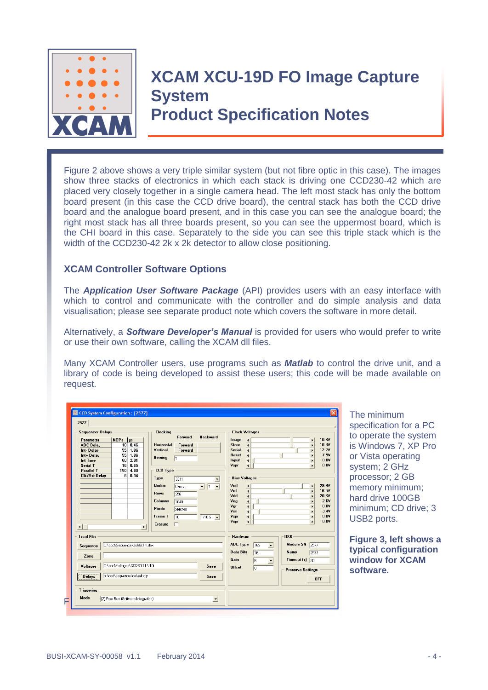

# **XCAM XCU-19D FO Image Capture System**

**Product Specification Notes**

Figure 2 above shows a very triple similar system (but not fibre optic in this case). The images show three stacks of electronics in which each stack is driving one CCD230-42 which are placed very closely together in a single camera head. The left most stack has only the bottom board present (in this case the CCD drive board), the central stack has both the CCD drive board and the analogue board present, and in this case you can see the analogue board; the right most stack has all three boards present, so you can see the uppermost board, which is the CHI board in this case. Separately to the side you can see this triple stack which is the width of the CCD230-42 2k x 2k detector to allow close positioning.

### **XCAM Controller Software Options**

The *Application User Software Package* (API) provides users with an easy interface with which to control and communicate with the controller and do simple analysis and data visualisation; please see separate product note which covers the software in more detail.

Alternatively, a *Software Developer's Manual* is provided for users who would prefer to write or use their own software, calling the XCAM dll files.

Many XCAM Controller users, use programs such as *Matlab* to control the drive unit, and a library of code is being developed to assist these users; this code will be made available on request.

| <b>Sequencer Delays</b><br>Parameter<br><b>ADC Delay</b><br>Int-Delay<br>Int+ Delay<br><b>Int Time</b><br><b>Serial T</b><br><b>Parallel T</b> | NOPs<br>us<br>$10 \t0.46$<br>55<br>1.86<br>55<br>1.86<br>2.01<br>60<br>16<br>0.65<br>150 4.80 | <b>Clocking</b><br><b>Horizontal</b><br>Vertical<br><b>Binning</b><br><b>CCD Type</b>                      | Forward<br>Forward<br>Forward<br>l1                               | <b>Backward</b>       | Image<br>Store<br>Serial<br><b>Reset</b><br>Input<br>Vspr                      | <b>Clock Voltages</b><br>$\overline{\bullet}$<br>$\blacktriangleleft$<br>$\blacktriangleleft$<br>$\blacktriangleleft$<br>$\overline{\phantom{a}}$<br>$\overline{\bullet}$                        | 10.8V<br>٠<br>10.8V<br>$\mathbf{r}$<br><b>12.2V</b><br>$\blacktriangleright$<br>7.9V<br>$\blacktriangleright$<br>0.0V<br>$\blacktriangleright$<br>0.0V<br>$\blacktriangleright$ |
|------------------------------------------------------------------------------------------------------------------------------------------------|-----------------------------------------------------------------------------------------------|------------------------------------------------------------------------------------------------------------|-------------------------------------------------------------------|-----------------------|--------------------------------------------------------------------------------|--------------------------------------------------------------------------------------------------------------------------------------------------------------------------------------------------|---------------------------------------------------------------------------------------------------------------------------------------------------------------------------------|
| <b>Clk/Rst Delay</b><br>$\blacktriangleleft$                                                                                                   | 60.34<br>$\blacktriangleright$                                                                | Type<br><b>Nodes</b><br><b>Rows</b><br><b>Columns</b><br><b>Pixels</b><br><b>Frame T</b><br><b>Erasure</b> | 3011<br>$One \leftarrow$<br>256<br>1040<br>266240<br>10<br>$\Box$ | $1/10S$ $\rightarrow$ | <b>Bias Voltages</b><br>Vod<br>Vrd<br>Vdd<br>Vog<br>Vqr<br>Vss<br>Vspr<br>Vspr | $\blacktriangleleft$<br>$\blacktriangleleft$<br>$\overline{\phantom{a}}$<br>$\blacktriangleleft$<br>$\overline{\bullet}$<br>$\blacktriangleleft$<br>$\blacktriangleleft$<br>$\blacktriangleleft$ | 29.9V<br>$\mathbf{r}$<br>16.5V<br>$\mathbf{r}$<br>20.6V<br>$\blacktriangleright$<br>2.6V<br>0.0V<br>ь<br>3.4V<br>$\blacktriangleright$<br>0.0V<br>Þ<br>0.0V<br>٠                |
| <b>Load File</b><br>Sequence<br>Zone<br><b>Voltages</b>                                                                                        | C:\ccd\Sequence\2chtst1m.dex<br>C:\ccd\Voltages\CCD30-11.VTG                                  |                                                                                                            |                                                                   | Save                  | Hardware<br><b>ADC Type</b><br><b>Data Bits</b><br>Gain<br><b>Offset</b>       | 165<br>$\blacktriangledown$<br>16<br>B<br>$\blacktriangledown$<br>To                                                                                                                             | <b>USB</b><br><b>Module SN</b><br>2577<br>Name<br>2577<br>Timeout $(s)$ 30<br><b>Preserve Settings</b>                                                                          |
| <b>Delays</b><br><b>Triggering</b><br>Mode                                                                                                     | c:\ccd\sequence\default.dly                                                                   |                                                                                                            |                                                                   | Save                  |                                                                                |                                                                                                                                                                                                  | <b>OFF</b>                                                                                                                                                                      |

The minimum specification for a PC to operate the system is Windows 7, XP Pro or Vista operating system; 2 GHz processor; 2 GB memory minimum; hard drive 100GB minimum; CD drive; 3 USB2 ports.

**Figure 3, left shows a typical configuration window for XCAM software.**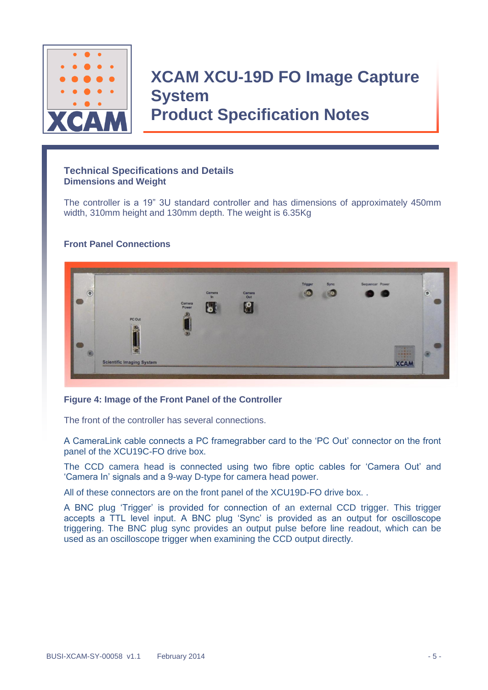

#### **Technical Specifications and Details Dimensions and Weight**

The controller is a 19" 3U standard controller and has dimensions of approximately 450mm width, 310mm height and 130mm depth. The weight is 6.35Kg

#### **Front Panel Connections**



#### **Figure 4: Image of the Front Panel of the Controller**

The front of the controller has several connections.

A CameraLink cable connects a PC framegrabber card to the 'PC Out' connector on the front panel of the XCU19C-FO drive box.

The CCD camera head is connected using two fibre optic cables for 'Camera Out' and 'Camera In' signals and a 9-way D-type for camera head power.

All of these connectors are on the front panel of the XCU19D-FO drive box. .

A BNC plug 'Trigger' is provided for connection of an external CCD trigger. This trigger accepts a TTL level input. A BNC plug 'Sync' is provided as an output for oscilloscope triggering. The BNC plug sync provides an output pulse before line readout, which can be used as an oscilloscope trigger when examining the CCD output directly.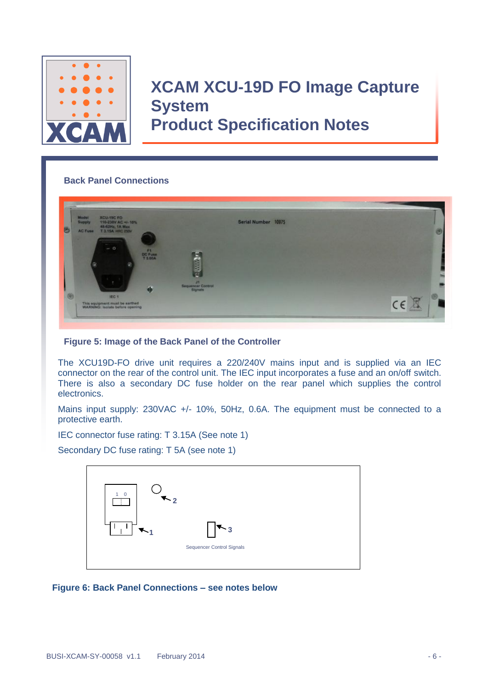

### **Back Panel Connections**



#### **Figure 5: Image of the Back Panel of the Controller**

The XCU19D-FO drive unit requires a 220/240V mains input and is supplied via an IEC connector on the rear of the control unit. The IEC input incorporates a fuse and an on/off switch. There is also a secondary DC fuse holder on the rear panel which supplies the control electronics.

Mains input supply: 230VAC +/- 10%, 50Hz, 0.6A. The equipment must be connected to a protective earth.

IEC connector fuse rating: T 3.15A (See note 1)

Secondary DC fuse rating: T 5A (see note 1)



**Figure 6: Back Panel Connections – see notes below**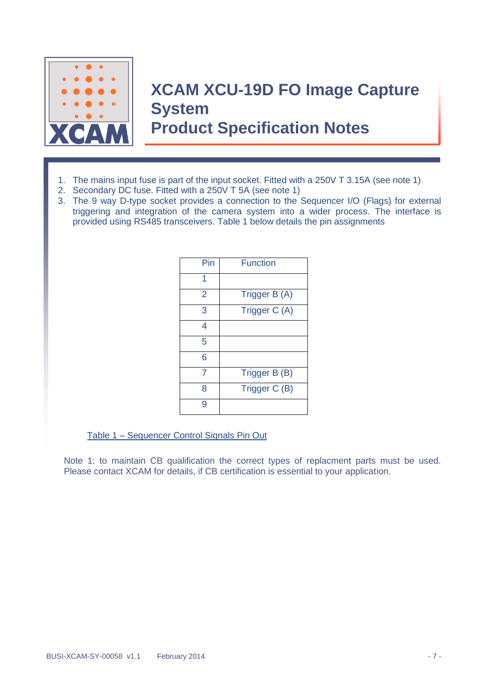

- 1. The mains input fuse is part of the input socket. Fitted with a 250V T 3.15A (see note 1)
- 2. Secondary DC fuse. Fitted with a 250V T 5A (see note 1)
- 3. The 9 way D-type socket provides a connection to the Sequencer I/O (Flags) for external triggering and integration of the camera system into a wider process. The interface is provided using RS485 transceivers. Table 1 below details the pin assignments

| Pin | <b>Function</b> |
|-----|-----------------|
| 1   |                 |
| 2   | Trigger B (A)   |
| 3   | Trigger C (A)   |
| 4   |                 |
| 5   |                 |
| 6   |                 |
|     | Trigger B (B)   |
| ጸ   | Trigger C (B)   |
|     |                 |

Table 1 – Sequencer Control Signals Pin Out

Note 1: to maintain CB qualification the correct types of replacment parts must be used. Please contact XCAM for details, if CB certification is essential to your application.